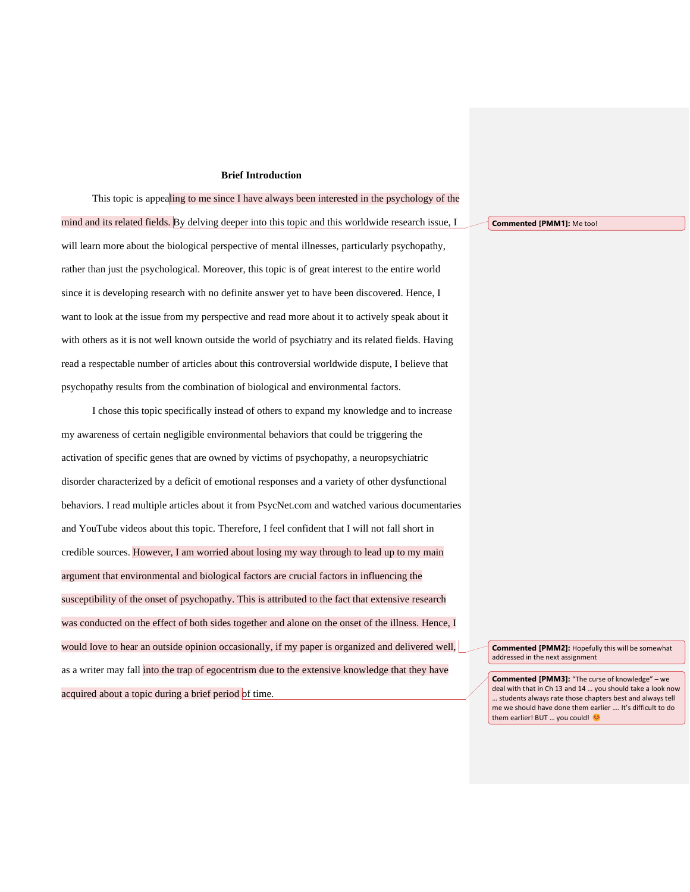## **Brief Introduction**

This topic is appealing to me since I have always been interested in the psychology of the mind and its related fields. By delving deeper into this topic and this worldwide research issue, I will learn more about the biological perspective of mental illnesses, particularly psychopathy, rather than just the psychological. Moreover, this topic is of great interest to the entire world since it is developing research with no definite answer yet to have been discovered. Hence, I want to look at the issue from my perspective and read more about it to actively speak about it with others as it is not well known outside the world of psychiatry and its related fields. Having read a respectable number of articles about this controversial worldwide dispute, I believe that psychopathy results from the combination of biological and environmental factors.

I chose this topic specifically instead of others to expand my knowledge and to increase my awareness of certain negligible environmental behaviors that could be triggering the activation of specific genes that are owned by victims of psychopathy, a neuropsychiatric disorder characterized by a deficit of emotional responses and a variety of other dysfunctional behaviors. I read multiple articles about it from PsycNet.com and watched various documentaries and YouTube videos about this topic. Therefore, I feel confident that I will not fall short in credible sources. However, I am worried about losing my way through to lead up to my main argument that environmental and biological factors are crucial factors in influencing the susceptibility of the onset of psychopathy. This is attributed to the fact that extensive research was conducted on the effect of both sides together and alone on the onset of the illness. Hence, I would love to hear an outside opinion occasionally, if my paper is organized and delivered well, as a writer may fall into the trap of egocentrism due to the extensive knowledge that they have acquired about a topic during a brief period of time.

**Commented [PMM1]:** Me too!

**Commented [PMM2]:** Hopefully this will be somewhat addressed in the next assignment

**Commented [PMM3]:** "The curse of knowledge" – we deal with that in Ch 13 and 14 … you should take a look now … students always rate those chapters best and always tell me we should have done them earlier …. It's difficult to do them earlier! BUT ... you could! ©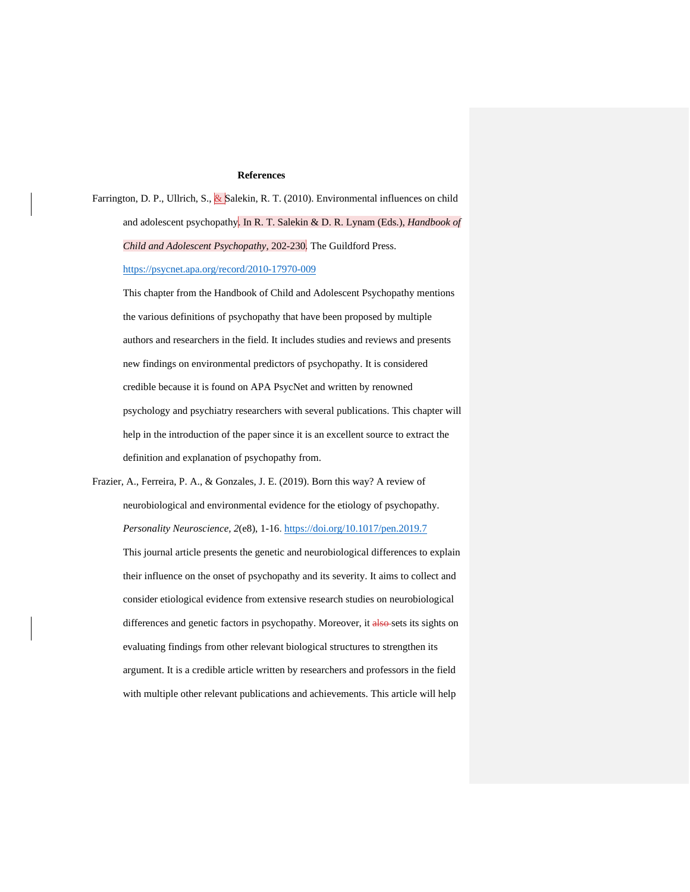## **References**

Farrington, D. P., Ullrich, S., & Salekin, R. T. (2010). Environmental influences on child and adolescent psychopathy. In R. T. Salekin & D. R. Lynam (Eds.), *Handbook of Child and Adolescent Psychopathy,* 202-230*.* The Guildford Press. <https://psycnet.apa.org/record/2010-17970-009>

This chapter from the Handbook of Child and Adolescent Psychopathy mentions the various definitions of psychopathy that have been proposed by multiple authors and researchers in the field. It includes studies and reviews and presents new findings on environmental predictors of psychopathy. It is considered credible because it is found on APA PsycNet and written by renowned psychology and psychiatry researchers with several publications. This chapter will help in the introduction of the paper since it is an excellent source to extract the definition and explanation of psychopathy from.

Frazier, A., Ferreira, P. A., & Gonzales, J. E. (2019). Born this way? A review of neurobiological and environmental evidence for the etiology of psychopathy. *Personality Neuroscience, 2*(e8), 1-16.<https://doi.org/10.1017/pen.2019.7> This journal article presents the genetic and neurobiological differences to explain their influence on the onset of psychopathy and its severity. It aims to collect and consider etiological evidence from extensive research studies on neurobiological differences and genetic factors in psychopathy. Moreover, it also sets its sights on evaluating findings from other relevant biological structures to strengthen its argument. It is a credible article written by researchers and professors in the field with multiple other relevant publications and achievements. This article will help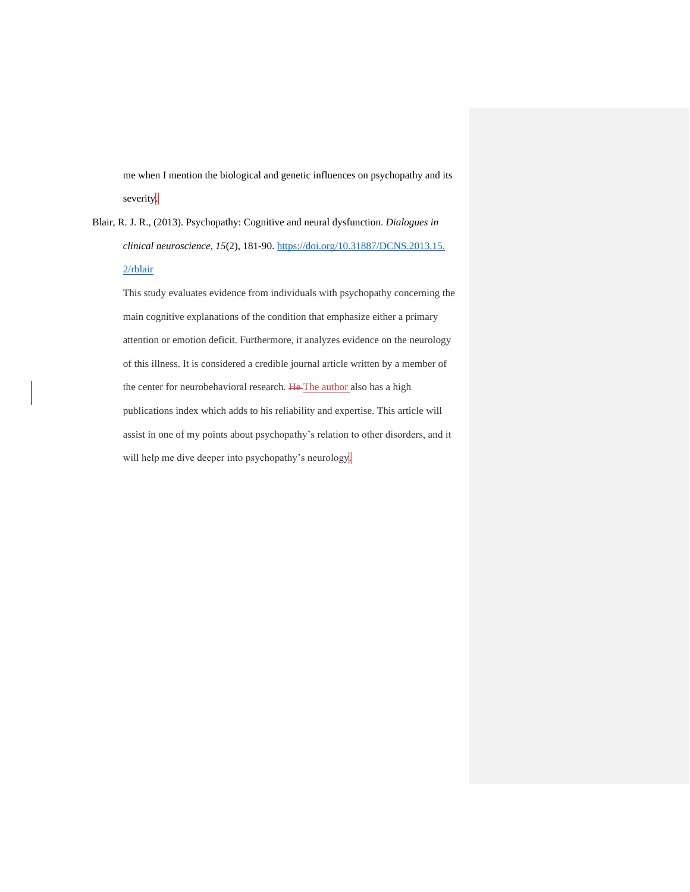me when I mention the biological and genetic influences on psychopathy and its severity.

Blair, R. J. R., (2013). Psychopathy: Cognitive and neural dysfunction. *Dialogues in clinical neuroscience, 15*(2), 181-90. [https://doi.org/10.31887/DCNS.2013.15.](https://doi.org/10.31887/DCNS.2013.15.%202/rblair)  [2/rblair](https://doi.org/10.31887/DCNS.2013.15.%202/rblair)

This study evaluates evidence from individuals with psychopathy concerning the main cognitive explanations of the condition that emphasize either a primary attention or emotion deficit. Furthermore, it analyzes evidence on the neurology of this illness. It is considered a credible journal article written by a member of the center for neurobehavioral research. He The author also has a high publications index which adds to his reliability and expertise. This article will assist in one of my points about psychopathy's relation to other disorders, and it will help me dive deeper into psychopathy's neurology.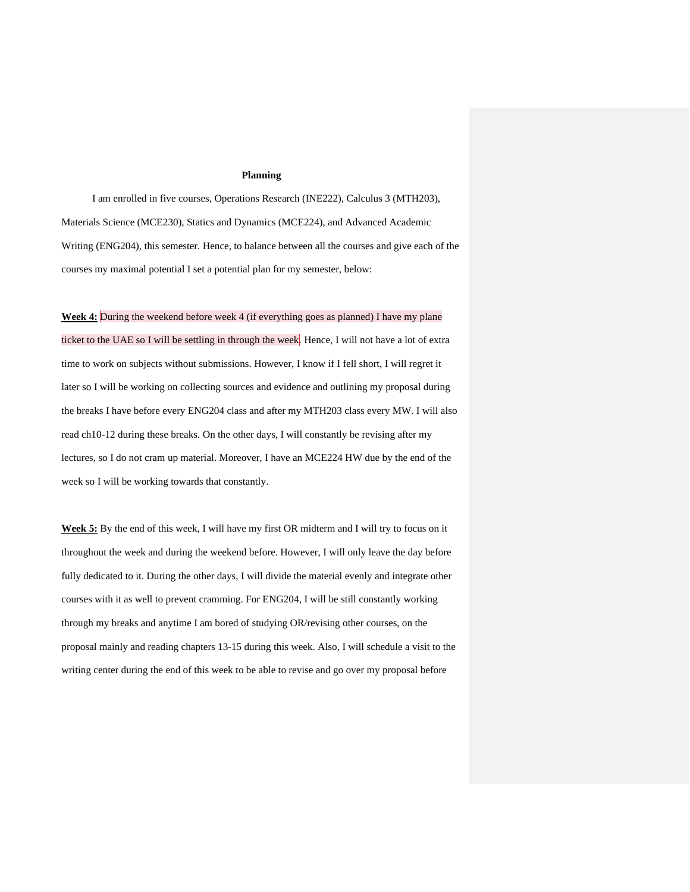## **Planning**

I am enrolled in five courses, Operations Research (INE222), Calculus 3 (MTH203), Materials Science (MCE230), Statics and Dynamics (MCE224), and Advanced Academic Writing (ENG204), this semester. Hence, to balance between all the courses and give each of the courses my maximal potential I set a potential plan for my semester, below:

**Week 4:** During the weekend before week 4 (if everything goes as planned) I have my plane

ticket to the UAE so I will be settling in through the week. Hence, I will not have a lot of extra time to work on subjects without submissions. However, I know if I fell short, I will regret it later so I will be working on collecting sources and evidence and outlining my proposal during the breaks I have before every ENG204 class and after my MTH203 class every MW. I will also read ch10-12 during these breaks. On the other days, I will constantly be revising after my lectures, so I do not cram up material. Moreover, I have an MCE224 HW due by the end of the week so I will be working towards that constantly.

**Week 5:** By the end of this week, I will have my first OR midterm and I will try to focus on it throughout the week and during the weekend before. However, I will only leave the day before fully dedicated to it. During the other days, I will divide the material evenly and integrate other courses with it as well to prevent cramming. For ENG204, I will be still constantly working through my breaks and anytime I am bored of studying OR/revising other courses, on the proposal mainly and reading chapters 13-15 during this week. Also, I will schedule a visit to the writing center during the end of this week to be able to revise and go over my proposal before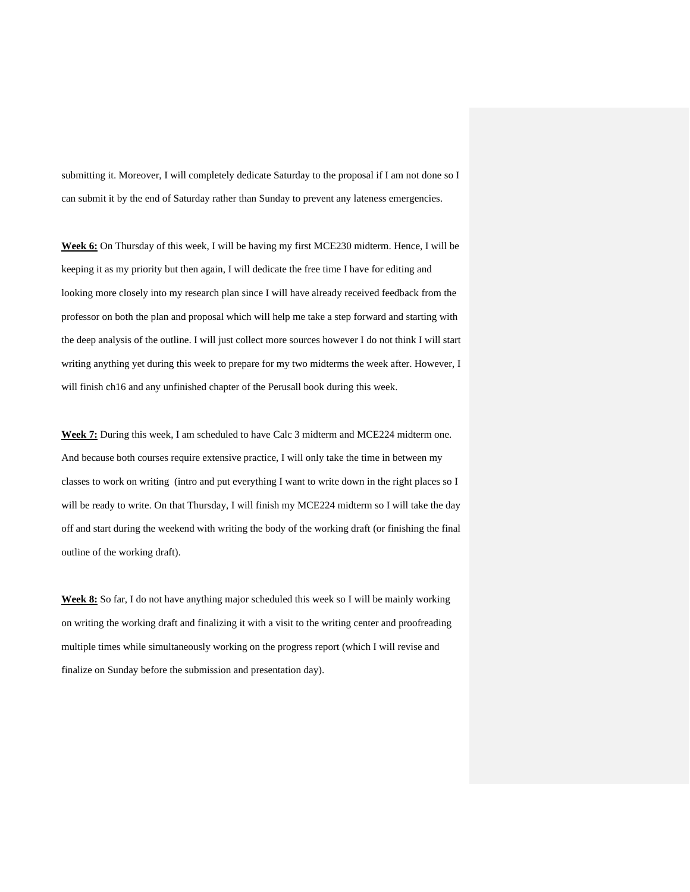submitting it. Moreover, I will completely dedicate Saturday to the proposal if I am not done so I can submit it by the end of Saturday rather than Sunday to prevent any lateness emergencies.

**Week 6:** On Thursday of this week, I will be having my first MCE230 midterm. Hence, I will be keeping it as my priority but then again, I will dedicate the free time I have for editing and looking more closely into my research plan since I will have already received feedback from the professor on both the plan and proposal which will help me take a step forward and starting with the deep analysis of the outline. I will just collect more sources however I do not think I will start writing anything yet during this week to prepare for my two midterms the week after. However, I will finish ch16 and any unfinished chapter of the Perusall book during this week.

**Week 7:** During this week, I am scheduled to have Calc 3 midterm and MCE224 midterm one. And because both courses require extensive practice, I will only take the time in between my classes to work on writing (intro and put everything I want to write down in the right places so I will be ready to write. On that Thursday, I will finish my MCE224 midterm so I will take the day off and start during the weekend with writing the body of the working draft (or finishing the final outline of the working draft).

**Week 8:** So far, I do not have anything major scheduled this week so I will be mainly working on writing the working draft and finalizing it with a visit to the writing center and proofreading multiple times while simultaneously working on the progress report (which I will revise and finalize on Sunday before the submission and presentation day).